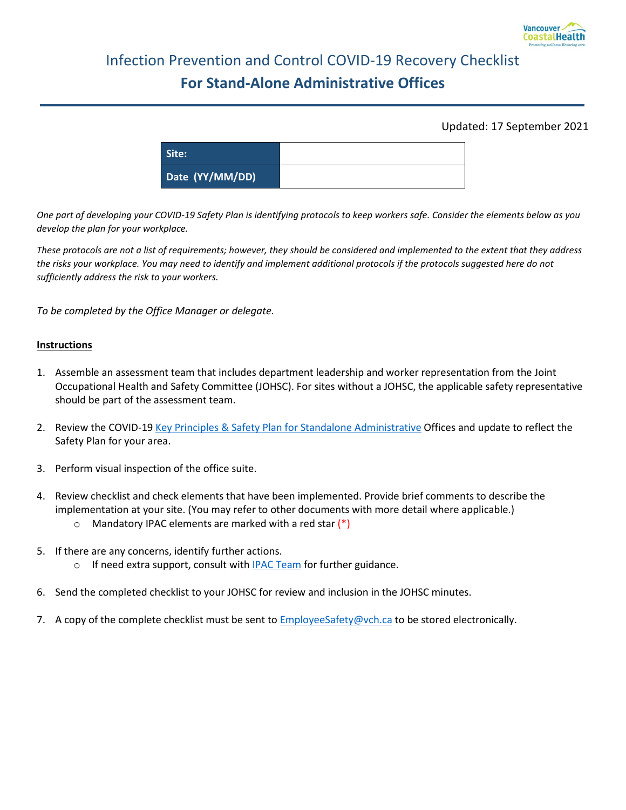

## Infection Prevention and Control COVID-19 Recovery Checklist **For Stand-Alone Administrative Offices**

## Updated: 17 September 2021

| Site:           |  |
|-----------------|--|
| Date (YY/MM/DD) |  |

*One part of developing your COVID-19 Safety Plan is identifying protocols to keep workers safe. Consider the elements below as you develop the plan for your workplace.*

*These protocols are not a list of requirements; however, they should be considered and implemented to the extent that they address the risks your workplace. You may need to identify and implement additional protocols if the protocols suggested here do not sufficiently address the risk to your workers.* 

*To be completed by the Office Manager or delegate.*

## **Instructions**

- 1. Assemble an assessment team that includes department leadership and worker representation from the Joint Occupational Health and Safety Committee (JOHSC). For sites without a JOHSC, the applicable safety representative should be part of the assessment team.
- 2. Review the COVID-19 [Key Principles & Safety Plan for Standalone Administrative](http://ipac.vch.ca/Documents/COVID-19/Recovery%20Resources/Administrative%20Areas/Key%20Principles%20and%20Safety%20Plan%20_%20Standalone%20Administrative.pdf) Offices and update to reflect the Safety Plan for your area.
- 3. Perform visual inspection of the office suite.
- 4. Review checklist and check elements that have been implemented. Provide brief comments to describe the implementation at your site. (You may refer to other documents with more detail where applicable.)
	- $\circ$  Mandatory IPAC elements are marked with a red star  $(*)$
- 5. If there are any concerns, identify further actions.
	- o If need extra support, consult with **IPAC Team** for further guidance.
- 6. Send the completed checklist to your JOHSC for review and inclusion in the JOHSC minutes.
- 7. A copy of the complete checklist must be sent to [EmployeeSafety@vch.ca](mailto:EmployeeSafety@vch.ca?subject=Recovery%20Checklist) to be stored electronically.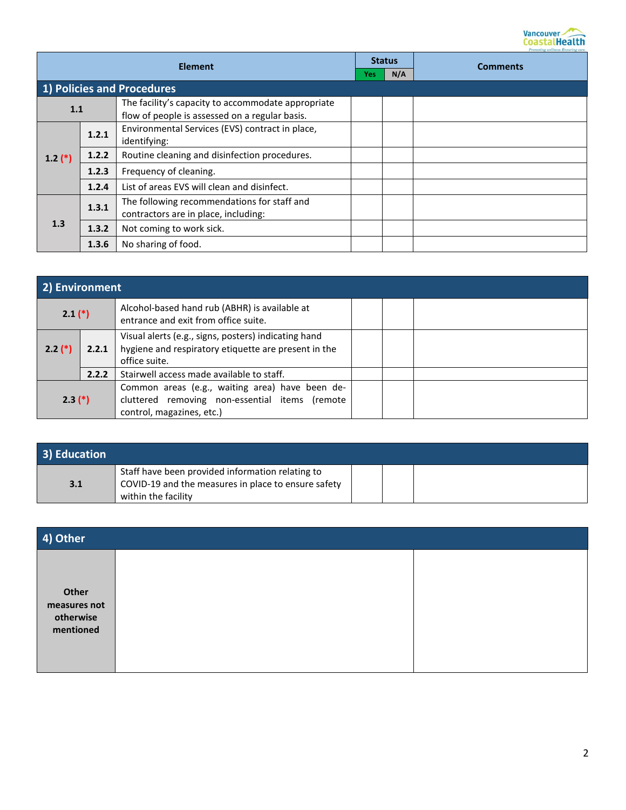

| <b>Element</b> |       | <b>Status</b>                                                                                        |     | Promoting weaness, Ensuring care<br><b>Comments</b> |  |
|----------------|-------|------------------------------------------------------------------------------------------------------|-----|-----------------------------------------------------|--|
|                |       |                                                                                                      | Yes | N/A                                                 |  |
|                |       | 1) Policies and Procedures                                                                           |     |                                                     |  |
| 1.1            |       | The facility's capacity to accommodate appropriate<br>flow of people is assessed on a regular basis. |     |                                                     |  |
|                | 1.2.1 | Environmental Services (EVS) contract in place,<br>identifying:                                      |     |                                                     |  |
| $1.2$ (*)      | 1.2.2 | Routine cleaning and disinfection procedures.                                                        |     |                                                     |  |
|                | 1.2.3 | Frequency of cleaning.                                                                               |     |                                                     |  |
|                | 1.2.4 | List of areas EVS will clean and disinfect.                                                          |     |                                                     |  |
| 1.3            | 1.3.1 | The following recommendations for staff and<br>contractors are in place, including:                  |     |                                                     |  |
|                | 1.3.2 | Not coming to work sick.                                                                             |     |                                                     |  |
|                | 1.3.6 | No sharing of food.                                                                                  |     |                                                     |  |

| 2) Environment |       |                                                                                                                                |  |  |  |
|----------------|-------|--------------------------------------------------------------------------------------------------------------------------------|--|--|--|
| $2.1$ $(*)$    |       | Alcohol-based hand rub (ABHR) is available at<br>entrance and exit from office suite.                                          |  |  |  |
| $2.2$ (*)      | 2.2.1 | Visual alerts (e.g., signs, posters) indicating hand<br>hygiene and respiratory etiquette are present in the<br>office suite.  |  |  |  |
|                | 2.2.2 | Stairwell access made available to staff.                                                                                      |  |  |  |
| $2.3(*)$       |       | Common areas (e.g., waiting area) have been de-<br>cluttered removing non-essential items (remote<br>control, magazines, etc.) |  |  |  |

| 3) Education |                                                                                                                                |  |  |
|--------------|--------------------------------------------------------------------------------------------------------------------------------|--|--|
| 3.1          | Staff have been provided information relating to<br>COVID-19 and the measures in place to ensure safety<br>within the facility |  |  |

| 4) Other                                        |  |
|-------------------------------------------------|--|
| Other<br>measures not<br>otherwise<br>mentioned |  |